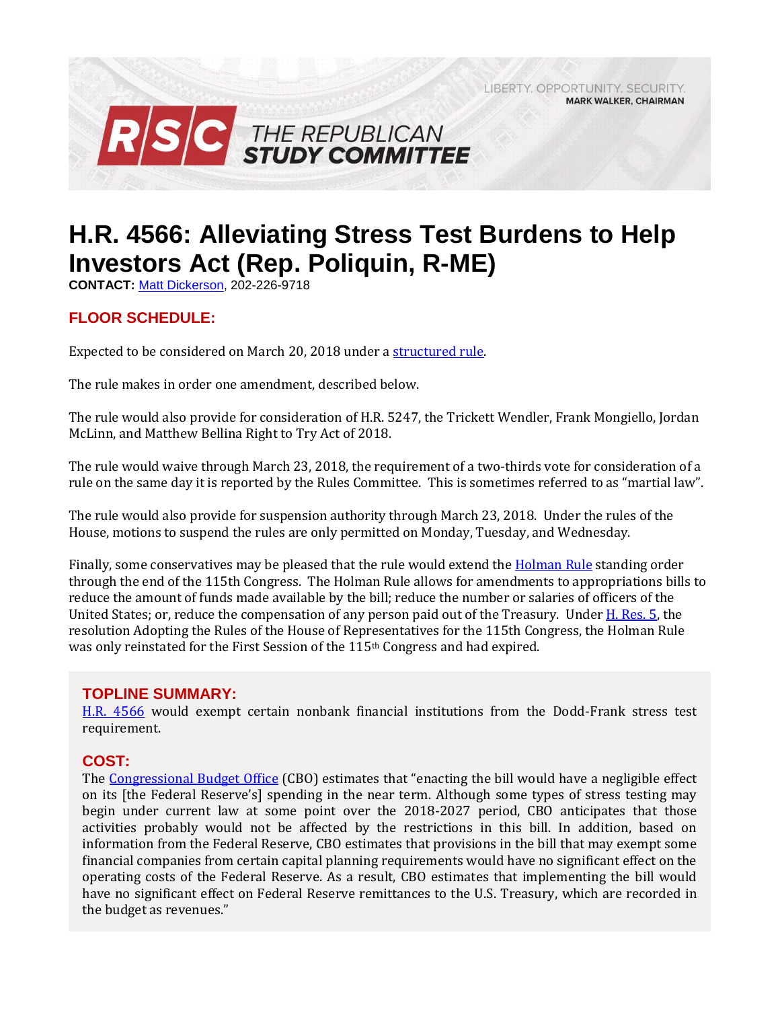LIBERTY, OPPORTUNITY, SECURITY, **MARK WALKER, CHAIRMAN** 



# **H.R. 4566: Alleviating Stress Test Burdens to Help Investors Act (Rep. Poliquin, R-ME)**

**CONTACT:** [Matt Dickerson,](mailto:Matthew.Dickerson@mail.house.gov) 202-226-9718

# **FLOOR SCHEDULE:**

Expected to be considered on March 20, 2018 under [a structured rule.](https://rules.house.gov/bill/115/hr-4566)

The rule makes in order one amendment, described below.

The rule would also provide for consideration of H.R. 5247, the Trickett Wendler, Frank Mongiello, Jordan McLinn, and Matthew Bellina Right to Try Act of 2018.

The rule would waive through March 23, 2018, the requirement of a two-thirds vote for consideration of a rule on the same day it is reported by the Rules Committee. This is sometimes referred to as "martial law".

The rule would also provide for suspension authority through March 23, 2018. Under the rules of the House, motions to suspend the rules are only permitted on Monday, Tuesday, and Wednesday.

Finally, some conservatives may be pleased that the rule would extend th[e Holman Rule](https://rsc-walker.house.gov/sites/republicanstudycommittee.house.gov/files/2017LB/RSC_Legislative_Bulletin_115th_Congress_House_Rules_1.3.2017.pdf#page=4) standing order through the end of the 115th Congress. The Holman Rule allows for amendments to appropriations bills to reduce the amount of funds made available by the bill; reduce the number or salaries of officers of the United States; or, reduce the compensation of any person paid out of the Treasury. Under [H. Res. 5,](https://rsc-walker.house.gov/sites/republicanstudycommittee.house.gov/files/2017LB/RSC_Legislative_Bulletin_115th_Congress_House_Rules_1.3.2017.pdf) the resolution Adopting the Rules of the House of Representatives for the 115th Congress, the Holman Rule was only reinstated for the First Session of the 115<sup>th</sup> Congress and had expired.

## **TOPLINE SUMMARY:**

[H.R. 4566](http://docs.house.gov/billsthisweek/20180319/BILLS-115HR4566-RCP115-65.pdf) would exempt certain nonbank financial institutions from the Dodd-Frank stress test requirement.

#### **COST:**

The [Congressional Budget Office](https://www.cbo.gov/system/files/115th-congress-2017-2018/costestimate/hr4566.pdf) (CBO) estimates that "enacting the bill would have a negligible effect on its [the Federal Reserve's] spending in the near term. Although some types of stress testing may begin under current law at some point over the 2018-2027 period, CBO anticipates that those activities probably would not be affected by the restrictions in this bill. In addition, based on information from the Federal Reserve, CBO estimates that provisions in the bill that may exempt some financial companies from certain capital planning requirements would have no significant effect on the operating costs of the Federal Reserve. As a result, CBO estimates that implementing the bill would have no significant effect on Federal Reserve remittances to the U.S. Treasury, which are recorded in the budget as revenues."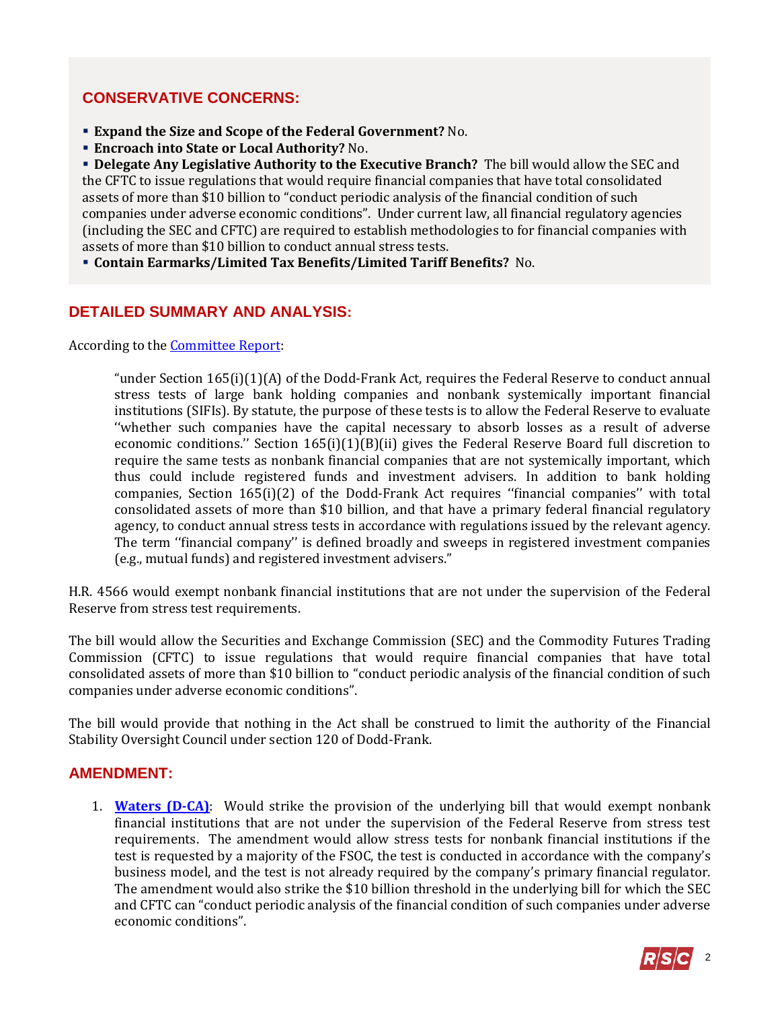# **CONSERVATIVE CONCERNS:**

- **Expand the Size and Scope of the Federal Government?** No.
- **Encroach into State or Local Authority?** No.

▪ **Delegate Any Legislative Authority to the Executive Branch?** The bill would allow the SEC and the CFTC to issue regulations that would require financial companies that have total consolidated assets of more than \$10 billion to "conduct periodic analysis of the financial condition of such companies under adverse economic conditions". Under current law, all financial regulatory agencies (including the SEC and CFTC) are required to establish methodologies to for financial companies with assets of more than \$10 billion to conduct annual stress tests.

▪ **Contain Earmarks/Limited Tax Benefits/Limited Tariff Benefits?** No.

## **DETAILED SUMMARY AND ANALYSIS:**

According to th[e Committee Report:](https://www.gpo.gov/fdsys/pkg/CRPT-115hrpt601/pdf/CRPT-115hrpt601.pdf)

"under Section 165(i)(1)(A) of the Dodd-Frank Act, requires the Federal Reserve to conduct annual stress tests of large bank holding companies and nonbank systemically important financial institutions (SIFIs). By statute, the purpose of these tests is to allow the Federal Reserve to evaluate ''whether such companies have the capital necessary to absorb losses as a result of adverse economic conditions.'' Section 165(i)(1)(B)(ii) gives the Federal Reserve Board full discretion to require the same tests as nonbank financial companies that are not systemically important, which thus could include registered funds and investment advisers. In addition to bank holding companies, Section 165(i)(2) of the Dodd-Frank Act requires ''financial companies'' with total consolidated assets of more than \$10 billion, and that have a primary federal financial regulatory agency, to conduct annual stress tests in accordance with regulations issued by the relevant agency. The term ''financial company'' is defined broadly and sweeps in registered investment companies (e.g., mutual funds) and registered investment advisers."

H.R. 4566 would exempt nonbank financial institutions that are not under the supervision of the Federal Reserve from stress test requirements.

The bill would allow the Securities and Exchange Commission (SEC) and the Commodity Futures Trading Commission (CFTC) to issue regulations that would require financial companies that have total consolidated assets of more than \$10 billion to "conduct periodic analysis of the financial condition of such companies under adverse economic conditions".

The bill would provide that nothing in the Act shall be construed to limit the authority of the Financial Stability Oversight Council under section 120 of Dodd-Frank.

## **AMENDMENT:**

1. **[Waters \(D-CA\)](https://amendments-rules.house.gov/amendments/WATERS_152_xml319180936533653.pdf)**: Would strike the provision of the underlying bill that would exempt nonbank financial institutions that are not under the supervision of the Federal Reserve from stress test requirements. The amendment would allow stress tests for nonbank financial institutions if the test is requested by a majority of the FSOC, the test is conducted in accordance with the company's business model, and the test is not already required by the company's primary financial regulator. The amendment would also strike the \$10 billion threshold in the underlying bill for which the SEC and CFTC can "conduct periodic analysis of the financial condition of such companies under adverse economic conditions".